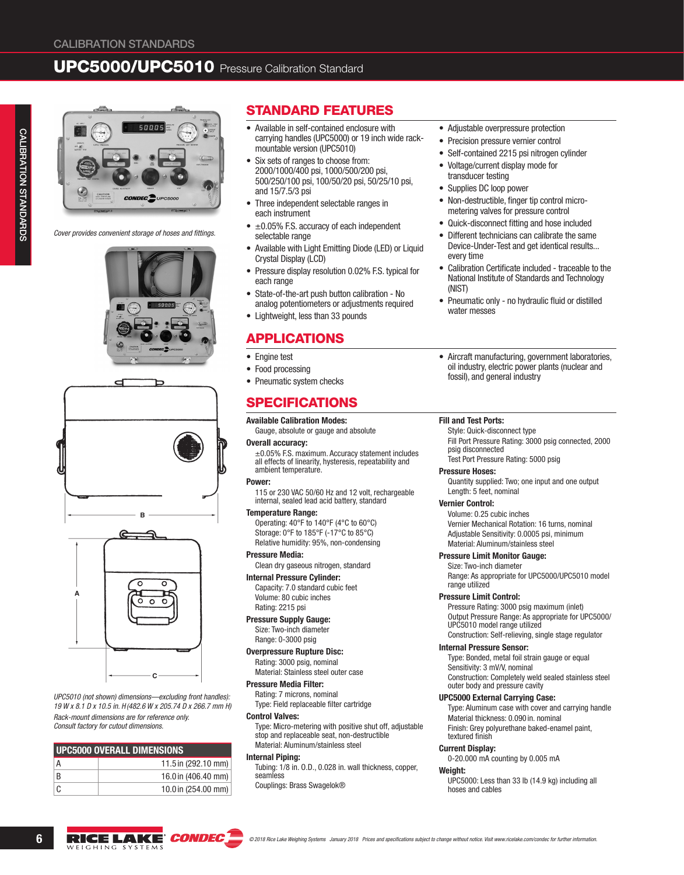# UPC5000/UPC5010 Pressure Calibration Standard



*Cover provides convenient storage of hoses and fittings.*







*UPC5010 (not shown) dimensions—excluding front handles): 19 W x 8.1 D x 10.5 in. H(482.6 W x 205.74 D x 266.7 mm H) Rack-mount dimensions are for reference only. Consult factory for cutout dimensions.*

| UPC5000 OVERALL DIMENSIONS |                     |  |  |  |
|----------------------------|---------------------|--|--|--|
| А                          | 11.5 in (292.10 mm) |  |  |  |
| B                          | 16.0 in (406.40 mm) |  |  |  |
| C                          | 10.0 in (254.00 mm) |  |  |  |

## STANDARD FEATURES

- Available in self-contained enclosure with carrying handles (UPC5000) or 19 inch wide rackmountable version (UPC5010)
- Six sets of ranges to choose from: 2000/1000/400 psi, 1000/500/200 psi, 500/250/100 psi, 100/50/20 psi, 50/25/10 psi, and 15/7.5/3 psi
- Three independent selectable ranges in each instrument
- $\bullet$   $\pm$ 0.05% F.S. accuracy of each independent selectable range
- Available with Light Emitting Diode (LED) or Liquid Crystal Display (LCD)
- Pressure display resolution 0.02% F.S. typical for each range
- State-of-the-art push button calibration No analog potentiometers or adjustments required
- Lightweight, less than 33 pounds

## APPLICATIONS

- Engine test
- Food processing
- Pneumatic system checks

## SPECIFICATIONS

## Available Calibration Modes:

Gauge, absolute or gauge and absolute

### Overall accuracy:

±0.05% F.S. maximum. Accuracy statement includes all effects of linearity, hysteresis, repeatability and ambient temperature.

#### Power:

115 or 230 VAC 50/60 Hz and 12 volt, rechargeable internal, sealed lead acid battery, standard

#### Temperature Range:

Operating: 40°F to 140°F (4°C to 60°C) Storage: 0°F to 185°F (-17°C to 85°C) Relative humidity: 95%, non-condensing

## Pressure Media:

Clean dry gaseous nitrogen, standard

#### Internal Pressure Cylinder:

Capacity: 7.0 standard cubic feet Volume: 80 cubic inches Rating: 2215 psi

#### Pressure Supply Gauge: Size: Two-inch diameter

Range: 0-3000 psig

Overpressure Rupture Disc: Rating: 3000 psig, nominal Material: Stainless steel outer case

#### Pressure Media Filter:

Rating: 7 microns, nominal Type: Field replaceable filter cartridge

#### Control Valves:

Type: Micro-metering with positive shut off, adjustable stop and replaceable seat, non-destructible Material: Aluminum/stainless steel

#### Internal Piping:

Tubing: 1/8 in. O.D., 0.028 in. wall thickness, copper, seamless Couplings: Brass Swagelok®

- Adjustable overpressure protection
- Precision pressure vernier control
- Self-contained 2215 psi nitrogen cylinder
- Voltage/current display mode for transducer testing
- Supplies DC loop power
- Non-destructible, finger tip control micrometering valves for pressure control
- Quick-disconnect fitting and hose included
- Different technicians can calibrate the same Device-Under-Test and get identical results... every time
- Calibration Certificate included traceable to the National Institute of Standards and Technology (NIST)
- Pneumatic only no hydraulic fluid or distilled water messes
- Aircraft manufacturing, government laboratories, oil industry, electric power plants (nuclear and fossil), and general industry

#### Fill and Test Ports:

Style: Quick-disconnect type

Fill Port Pressure Rating: 3000 psig connected, 2000 psig disconnected

Test Port Pressure Rating: 5000 psig

#### Pressure Hoses:

Quantity supplied: Two; one input and one output Length: 5 feet, nominal

#### Vernier Control:

Volume: 0.25 cubic inches Vernier Mechanical Rotation: 16 turns, nominal Adjustable Sensitivity: 0.0005 psi, minimum Material: Aluminum/stainless steel

#### Pressure Limit Monitor Gauge:

Size: Two-inch diameter Range: As appropriate for UPC5000/UPC5010 model range utilized

#### Pressure Limit Control:

Pressure Rating: 3000 psig maximum (inlet) Output Pressure Range: As appropriate for UPC5000/ UPC5010 model range utilized Construction: Self-relieving, single stage regulator

#### Internal Pressure Sensor:

Type: Bonded, metal foil strain gauge or equal Sensitivity: 3 mV/V, nominal Construction: Completely weld sealed stainless steel outer body and pressure cavity

#### UPC5000 External Carrying Case:

Type: Aluminum case with cover and carrying handle Material thickness: 0.090 in. nominal Finish: Grey polyurethane baked-enamel paint, textured finish

#### Current Display:

0-20.000 mA counting by 0.005 mA

#### Weight:

UPC5000: Less than 33 lb (14.9 kg) including all hoses and cables